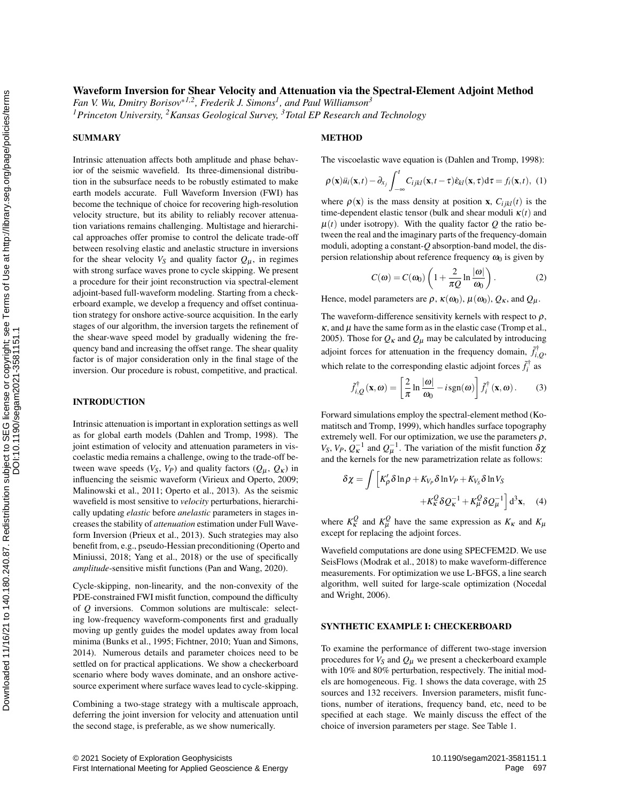# Waveform Inversion for Shear Velocity and Attenuation via the Spectral-Element Adjoint Method

*Fan V. Wu, Dmitry Borisov*\**1,2, Frederik J. Simons<sup>1</sup> , and Paul Williamson<sup>3</sup>*

*<sup>1</sup>Princeton University, <sup>2</sup>Kansas Geological Survey, <sup>3</sup>Total EP Research and Technology*

#### SUMMARY

Intrinsic attenuation affects both amplitude and phase behavior of the seismic wavefield. Its three-dimensional distribution in the subsurface needs to be robustly estimated to make earth models accurate. Full Waveform Inversion (FWI) has become the technique of choice for recovering high-resolution velocity structure, but its ability to reliably recover attenuation variations remains challenging. Multistage and hierarchical approaches offer promise to control the delicate trade-off between resolving elastic and anelastic structure in inversions for the shear velocity  $V_S$  and quality factor  $Q_\mu$ , in regimes with strong surface waves prone to cycle skipping. We present a procedure for their joint reconstruction via spectral-element adjoint-based full-waveform modeling. Starting from a checkerboard example, we develop a frequency and offset continuation strategy for onshore active-source acquisition. In the early stages of our algorithm, the inversion targets the refinement of the shear-wave speed model by gradually widening the frequency band and increasing the offset range. The shear quality factor is of major consideration only in the final stage of the inversion. Our procedure is robust, competitive, and practical. For excellent the steal of the steal of the steal of the steal of the steal of the steal of the steal of the steal of the steal of the steal of the steal of the steal of the steal of the steal of the steal of the steal of

# INTRODUCTION

Intrinsic attenuation is important in exploration settings as well as for global earth models (Dahlen and Tromp, 1998). The joint estimation of velocity and attenuation parameters in viscoelastic media remains a challenge, owing to the trade-off between wave speeds ( $V_S$ ,  $V_P$ ) and quality factors ( $Q_\mu$ ,  $Q_\kappa$ ) in influencing the seismic waveform (Virieux and Operto, 2009; Malinowski et al., 2011; Operto et al., 2013). As the seismic wavefield is most sensitive to *velocity* perturbations, hierarchically updating *elastic* before *anelastic* parameters in stages increases the stability of *attenuation* estimation under Full Waveform Inversion (Prieux et al., 2013). Such strategies may also benefit from, e.g., pseudo-Hessian preconditioning (Operto and Miniussi, 2018; Yang et al., 2018) or the use of specifically *amplitude*-sensitive misfit functions (Pan and Wang, 2020).

Cycle-skipping, non-linearity, and the non-convexity of the PDE-constrained FWI misfit function, compound the difficulty of *Q* inversions. Common solutions are multiscale: selecting low-frequency waveform-components first and gradually moving up gently guides the model updates away from local minima (Bunks et al., 1995; Fichtner, 2010; Yuan and Simons, 2014). Numerous details and parameter choices need to be settled on for practical applications. We show a checkerboard scenario where body waves dominate, and an onshore activesource experiment where surface waves lead to cycle-skipping.

Combining a two-stage strategy with a multiscale approach, deferring the joint inversion for velocity and attenuation until the second stage, is preferable, as we show numerically.

# **METHOD**

The viscoelastic wave equation is (Dahlen and Tromp, 1998):

$$
\rho(\mathbf{x})\ddot{u}_i(\mathbf{x},t) - \partial_{x_j} \int_{-\infty}^t C_{ijkl}(\mathbf{x},t-\tau)\dot{\mathbf{e}}_{kl}(\mathbf{x},\tau) d\tau = f_i(\mathbf{x},t), \tag{1}
$$

where  $\rho(\mathbf{x})$  is the mass density at position x,  $C_{ijkl}(t)$  is the time-dependent elastic tensor (bulk and shear moduli  $\kappa(t)$  and  $\mu(t)$  under isotropy). With the quality factor Q the ratio between the real and the imaginary parts of the frequency-domain moduli, adopting a constant-*Q* absorption-band model, the dispersion relationship about reference frequency  $\omega_0$  is given by

$$
C(\omega) = C(\omega_0) \left( 1 + \frac{2}{\pi Q} \ln \frac{|\omega|}{\omega_0} \right). \tag{2}
$$

Hence, model parameters are  $\rho$ ,  $\kappa(\omega_0)$ ,  $\mu(\omega_0)$ ,  $Q_k$ , and  $Q_\mu$ .

The waveform-difference sensitivity kernels with respect to  $\rho$ ,  $\kappa$ , and  $\mu$  have the same form as in the elastic case (Tromp et al., 2005). Those for  $Q_K$  and  $Q_\mu$  may be calculated by introducing adjoint forces for attenuation in the frequency domain,  $\tilde{f}_{i,Q}^{\dagger}$ , which relate to the corresponding elastic adjoint forces  $\tilde{f}_i^{\dagger}$  as

$$
\tilde{f}_{i,Q}^{\dagger}(\mathbf{x},\omega) = \left[\frac{2}{\pi}\ln\frac{|\omega|}{\omega_0} - i\operatorname{sgn}(\omega)\right]\tilde{f}_i^{\dagger}(\mathbf{x},\omega). \tag{3}
$$

Forward simulations employ the spectral-element method (Komatitsch and Tromp, 1999), which handles surface topography extremely well. For our optimization, we use the parameters  $\rho$ , *V*<sub>S</sub>, *V*<sub>*P*</sub>,  $Q_K^{-1}$  and  $Q_\mu^{-1}$ . The variation of the misfit function  $\delta \chi$ and the kernels for the new parametrization relate as follows:

$$
\delta \chi = \int \left[ K'_{\rho} \delta \ln \rho + K_{V_{P}} \delta \ln V_{P} + K_{V_{S}} \delta \ln V_{S} \right. \\ \left. + K_{\kappa}^{Q} \delta Q_{\kappa}^{-1} + K_{\mu}^{Q} \delta Q_{\mu}^{-1} \right] d^{3} \mathbf{x}, \quad (4)
$$

where  $K_{\kappa}^Q$  and  $K_{\mu}^Q$  have the same expression as  $K_{\kappa}$  and  $K_{\mu}$ except for replacing the adjoint forces.

Wavefield computations are done using SPECFEM2D. We use SeisFlows (Modrak et al., 2018) to make waveform-difference measurements. For optimization we use L-BFGS, a line search algorithm, well suited for large-scale optimization (Nocedal and Wright, 2006).

# SYNTHETIC EXAMPLE I: CHECKERBOARD

To examine the performance of different two-stage inversion procedures for  $V_S$  and  $Q_\mu$  we present a checkerboard example with 10% and 80% perturbation, respectively. The initial models are homogeneous. Fig. 1 shows the data coverage, with 25 sources and 132 receivers. Inversion parameters, misfit functions, number of iterations, frequency band, etc, need to be specified at each stage. We mainly discuss the effect of the choice of inversion parameters per stage. See Table 1.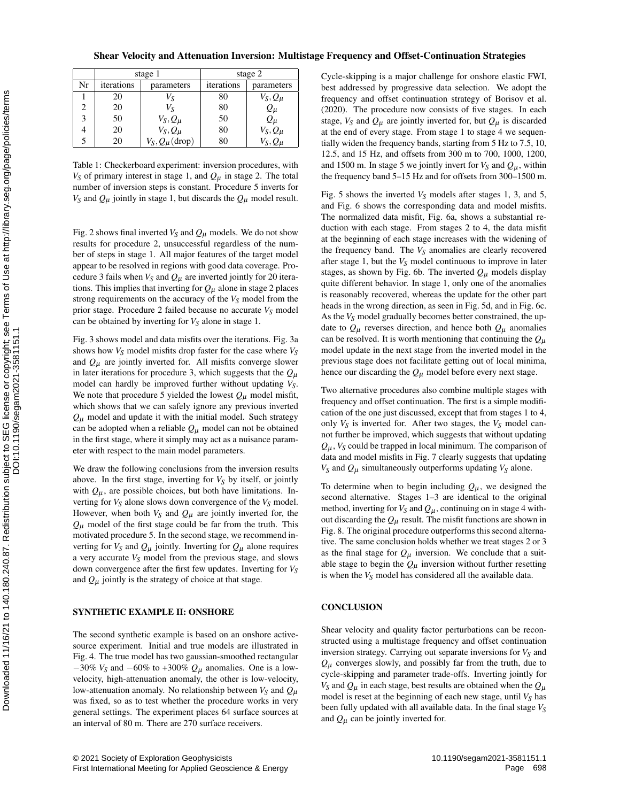|  | Shear Velocity and Attenuation Inversion: Multistage Frequency and Offset-Continuation Strategies |  |  |  |  |  |
|--|---------------------------------------------------------------------------------------------------|--|--|--|--|--|
|  |                                                                                                   |  |  |  |  |  |

|                             |            | stage 1                        | stage 2    |                                                            |  |  |
|-----------------------------|------------|--------------------------------|------------|------------------------------------------------------------|--|--|
| Nr                          | iterations | parameters                     | iterations | parameters                                                 |  |  |
|                             | 20         | Vs                             | 80         | $V_S, Q_\mu$                                               |  |  |
| $\mathcal{D}_{\mathcal{L}}$ | 20         | $V_S$                          | 80         |                                                            |  |  |
| 3                           | 50         | $V_S, Q_\mu$                   | 50         |                                                            |  |  |
|                             | 20         | $V_S, Q_\mu$                   | 80         |                                                            |  |  |
|                             | 20         | $\mu$ (drop)<br>$V_S, Q_\mu$ ' | 80         | $Q_{\mu}$<br>$Q_{\mu}$<br>$V_S, Q_{\mu}$<br>$V_S, Q_{\mu}$ |  |  |

Table 1: Checkerboard experiment: inversion procedures, with  $V_S$  of primary interest in stage 1, and  $Q_\mu$  in stage 2. The total number of inversion steps is constant. Procedure 5 inverts for  $V_S$  and  $Q_\mu$  jointly in stage 1, but discards the  $Q_\mu$  model result.

Fig. 2 shows final inverted  $V_S$  and  $Q_\mu$  models. We do not show results for procedure 2, unsuccessful regardless of the number of steps in stage 1. All major features of the target model appear to be resolved in regions with good data coverage. Procedure 3 fails when  $V_S$  and  $Q_\mu$  are inverted jointly for 20 iterations. This implies that inverting for  $Q_{\mu}$  alone in stage 2 places strong requirements on the accuracy of the  $V_S$  model from the prior stage. Procedure 2 failed because no accurate *V<sup>S</sup>* model can be obtained by inverting for *V<sup>S</sup>* alone in stage 1.

Fig. 3 shows model and data misfits over the iterations. Fig. 3a shows how *V<sup>S</sup>* model misfits drop faster for the case where *V<sup>S</sup>* and  $Q_{\mu}$  are jointly inverted for. All misfits converge slower in later iterations for procedure 3, which suggests that the  $Q_{\mu}$ model can hardly be improved further without updating *VS*. We note that procedure 5 yielded the lowest  $Q_{\mu}$  model misfit, which shows that we can safely ignore any previous inverted  $Q_{\mu}$  model and update it with the initial model. Such strategy can be adopted when a reliable  $Q_{\mu}$  model can not be obtained in the first stage, where it simply may act as a nuisance parameter with respect to the main model parameters. 2 20<br>
1 20<br>
1 20<br>
1 20<br>
1 20<br>
1 20<br>
1 20<br>
1  $V_S Q_B$ <br>
3 30<br>
1  $V_S Q_B$ <br>
3 20<br>
1  $V_S Q_B$ <br>
3 20<br>
1  $V_S Q_B$ <br>
3 20<br>
1  $V_S Q_B$ <br>
3 20<br>
1  $V_S Q_B$ <br>
1  $V_S Q_B$ <br>
1  $V_S Q_B$ <br>
1  $V_S Q_B$ <br>
1  $V_S Q_B$ <br>
1  $V_S Q_B$ <br>
1  $V_S Q_B$ <br>
1  $V_S Q_B$ <br>
1  $V_S Q_B$ <br>
1  $V_S Q_B$ <br>

We draw the following conclusions from the inversion results above. In the first stage, inverting for  $V<sub>S</sub>$  by itself, or jointly with  $Q_{\mu}$ , are possible choices, but both have limitations. Inverting for  $V_S$  alone slows down convergence of the  $V_S$  model. However, when both  $V_S$  and  $Q_\mu$  are jointly inverted for, the  $Q_{\mu}$  model of the first stage could be far from the truth. This motivated procedure 5. In the second stage, we recommend inverting for  $V_S$  and  $Q_\mu$  jointly. Inverting for  $Q_\mu$  alone requires a very accurate *V<sup>S</sup>* model from the previous stage, and slows down convergence after the first few updates. Inverting for *V<sup>S</sup>* and  $Q_{\mu}$  jointly is the strategy of choice at that stage.

#### SYNTHETIC EXAMPLE II: ONSHORE

The second synthetic example is based on an onshore activesource experiment. Initial and true models are illustrated in Fig. 4. The true model has two gaussian-smoothed rectangular  $-30\%$  *V<sub>S</sub>* and  $-60\%$  to +300%  $Q_{\mu}$  anomalies. One is a lowvelocity, high-attenuation anomaly, the other is low-velocity, low-attenuation anomaly. No relationship between  $V_S$  and  $Q_\mu$ was fixed, so as to test whether the procedure works in very general settings. The experiment places 64 surface sources at an interval of 80 m. There are 270 surface receivers.

Cycle-skipping is a major challenge for onshore elastic FWI, best addressed by progressive data selection. We adopt the frequency and offset continuation strategy of Borisov et al. (2020). The procedure now consists of five stages. In each stage,  $V_S$  and  $Q_\mu$  are jointly inverted for, but  $Q_\mu$  is discarded at the end of every stage. From stage 1 to stage 4 we sequentially widen the frequency bands, starting from 5 Hz to 7.5, 10, 12.5, and 15 Hz, and offsets from 300 m to 700, 1000, 1200, and 1500 m. In stage 5 we jointly invert for  $V_S$  and  $Q_\mu$ , within the frequency band 5–15 Hz and for offsets from 300–1500 m.

Fig. 5 shows the inverted *V<sup>S</sup>* models after stages 1, 3, and 5, and Fig. 6 shows the corresponding data and model misfits. The normalized data misfit, Fig. 6a, shows a substantial reduction with each stage. From stages 2 to 4, the data misfit at the beginning of each stage increases with the widening of the frequency band. The  $V_S$  anomalies are clearly recovered after stage 1, but the *V<sup>S</sup>* model continuous to improve in later stages, as shown by Fig. 6b. The inverted  $Q_{\mu}$  models display quite different behavior. In stage 1, only one of the anomalies is reasonably recovered, whereas the update for the other part heads in the wrong direction, as seen in Fig. 5d, and in Fig. 6c. As the *V<sup>S</sup>* model gradually becomes better constrained, the update to  $Q_{\mu}$  reverses direction, and hence both  $Q_{\mu}$  anomalies can be resolved. It is worth mentioning that continuing the  $Q<sub>u</sub>$ model update in the next stage from the inverted model in the previous stage does not facilitate getting out of local minima, hence our discarding the  $Q_{\mu}$  model before every next stage.

Two alternative procedures also combine multiple stages with frequency and offset continuation. The first is a simple modification of the one just discussed, except that from stages 1 to 4, only  $V_S$  is inverted for. After two stages, the  $V_S$  model cannot further be improved, which suggests that without updating  $Q_{\mu}$ ,  $V_S$  could be trapped in local minimum. The comparison of data and model misfits in Fig. 7 clearly suggests that updating  $V_S$  and  $Q_\mu$  simultaneously outperforms updating  $V_S$  alone.

To determine when to begin including  $Q_{\mu}$ , we designed the second alternative. Stages 1–3 are identical to the original method, inverting for  $V_S$  and  $Q_\mu$ , continuing on in stage 4 without discarding the  $Q_{\mu}$  result. The misfit functions are shown in Fig. 8. The original procedure outperforms this second alternative. The same conclusion holds whether we treat stages 2 or 3 as the final stage for  $Q_{\mu}$  inversion. We conclude that a suitable stage to begin the  $Q_{\mu}$  inversion without further resetting is when the *V<sup>S</sup>* model has considered all the available data.

#### **CONCLUSION**

Shear velocity and quality factor perturbations can be reconstructed using a multistage frequency and offset continuation inversion strategy. Carrying out separate inversions for *V<sup>S</sup>* and  $Q_{\mu}$  converges slowly, and possibly far from the truth, due to cycle-skipping and parameter trade-offs. Inverting jointly for  $V_S$  and  $Q_\mu$  in each stage, best results are obtained when the  $Q_\mu$ model is reset at the beginning of each new stage, until  $V_S$  has been fully updated with all available data. In the final stage *V<sup>S</sup>* and  $Q_{\mu}$  can be jointly inverted for.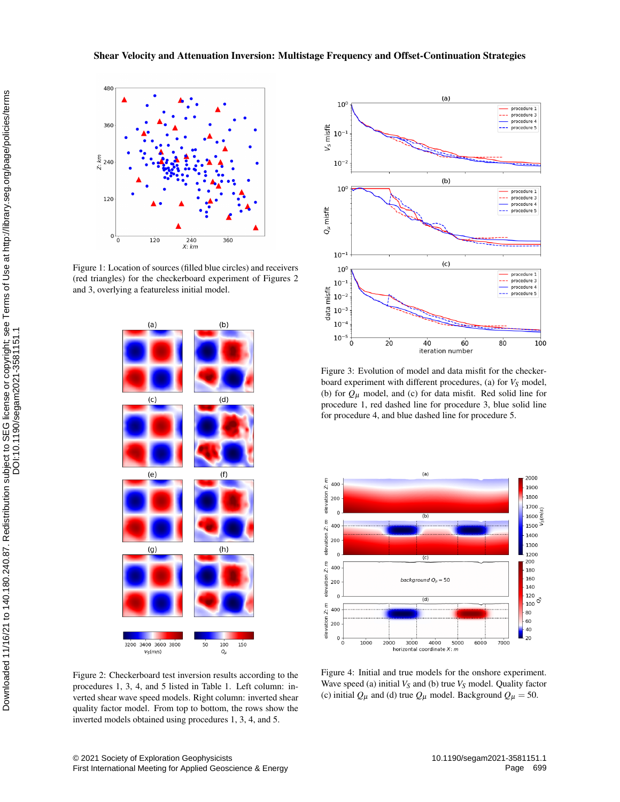# Shear Velocity and Attenuation Inversion: Multistage Frequency and Offset-Continuation Strategies



Figure 1: Location of sources (filled blue circles) and receivers (red triangles) for the checkerboard experiment of Figures 2 and 3, overlying a featureless initial model.



Figure 2: Checkerboard test inversion results according to the procedures 1, 3, 4, and 5 listed in Table 1. Left column: inverted shear wave speed models. Right column: inverted shear quality factor model. From top to bottom, the rows show the inverted models obtained using procedures 1, 3, 4, and 5.



Figure 3: Evolution of model and data misfit for the checkerboard experiment with different procedures, (a) for *V<sup>S</sup>* model, (b) for  $Q_{\mu}$  model, and (c) for data misfit. Red solid line for procedure 1, red dashed line for procedure 3, blue solid line for procedure 4, and blue dashed line for procedure 5.



Figure 4: Initial and true models for the onshore experiment. Wave speed (a) initial *V<sup>S</sup>* and (b) true *V<sup>S</sup>* model. Quality factor (c) initial  $Q_{\mu}$  and (d) true  $Q_{\mu}$  model. Background  $Q_{\mu} = 50$ .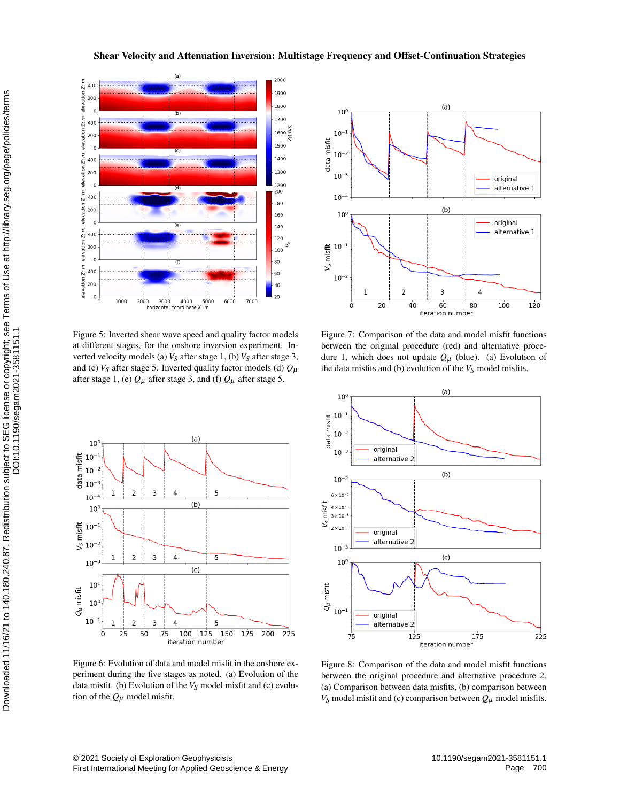# Shear Velocity and Attenuation Inversion: Multistage Frequency and Offset-Continuation Strategies



Figure 5: Inverted shear wave speed and quality factor models at different stages, for the onshore inversion experiment. Inverted velocity models (a) *V<sup>S</sup>* after stage 1, (b) *V<sup>S</sup>* after stage 3, and (c)  $V_S$  after stage 5. Inverted quality factor models (d)  $Q_\mu$ after stage 1, (e)  $Q_{\mu}$  after stage 3, and (f)  $Q_{\mu}$  after stage 5.



Figure 6: Evolution of data and model misfit in the onshore experiment during the five stages as noted. (a) Evolution of the data misfit. (b) Evolution of the *V<sup>S</sup>* model misfit and (c) evolution of the  $Q_{\mu}$  model misfit.



Figure 7: Comparison of the data and model misfit functions between the original procedure (red) and alternative procedure 1, which does not update  $Q_{\mu}$  (blue). (a) Evolution of the data misfits and (b) evolution of the  $V_S$  model misfits.



Figure 8: Comparison of the data and model misfit functions between the original procedure and alternative procedure 2. (a) Comparison between data misfits, (b) comparison between  $V_S$  model misfit and (c) comparison between  $Q_\mu$  model misfits.